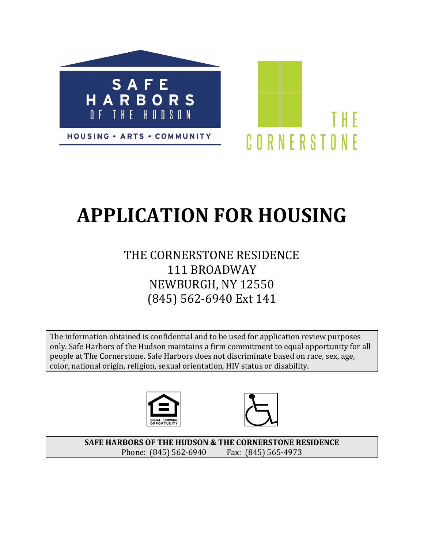

# **APPLICATION FOR HOUSING**

# THE CORNERSTONE RESIDENCE 111 BROADWAY NEWBURGH, NY 12550 (845) 562-6940 Ext 141

The information obtained is confidential and to be used for application review purposes only. Safe Harbors of the Hudson maintains a firm commitment to equal opportunity for all people at The Cornerstone. Safe Harbors does not discriminate based on race, sex, age, color, national origin, religion, sexual orientation, HIV status or disability.





SAFE HARBORS OF THE HUDSON & THE CORNERSTONE RESIDENCE Phone: (845) 562-6940 Fax: (845) 565-4973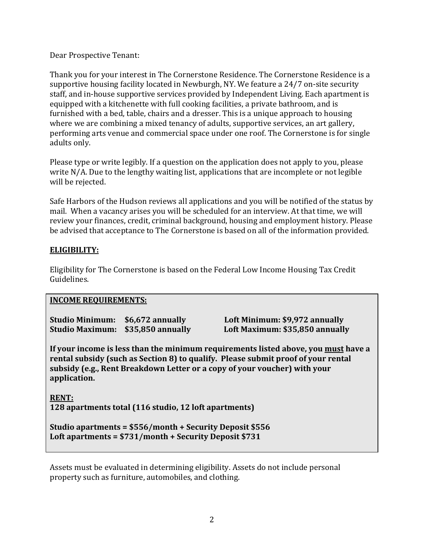Dear Prospective Tenant:

Thank you for your interest in The Cornerstone Residence. The Cornerstone Residence is a supportive housing facility located in Newburgh, NY. We feature a 24/7 on-site security staff, and in-house supportive services provided by Independent Living. Each apartment is equipped with a kitchenette with full cooking facilities, a private bathroom, and is furnished with a bed, table, chairs and a dresser. This is a unique approach to housing where we are combining a mixed tenancy of adults, supportive services, an art gallery, performing arts venue and commercial space under one roof. The Cornerstone is for single adults only.

Please type or write legibly. If a question on the application does not apply to you, please write  $N/A$ . Due to the lengthy waiting list, applications that are incomplete or not legible will be rejected.

Safe Harbors of the Hudson reviews all applications and you will be notified of the status by mail. When a vacancy arises you will be scheduled for an interview. At that time, we will review your finances, credit, criminal background, housing and employment history. Please be advised that acceptance to The Cornerstone is based on all of the information provided.

# **ELIGIBILITY:**

Eligibility for The Cornerstone is based on the Federal Low Income Housing Tax Credit Guidelines. 

# **INCOME REQUIREMENTS:**

| Studio Minimum: \$6,672 annually  |  |
|-----------------------------------|--|
| Studio Maximum: \$35,850 annually |  |

**Studio Minimum: \$6,672 annually Loft Minimum: \$9,972 annually** Loft Maximum: \$35,850 annually

**If your income is less than the minimum requirements listed above, you must have a** rental subsidy (such as Section 8) to qualify. Please submit proof of your rental subsidy (e.g., Rent Breakdown Letter or a copy of your voucher) with your **application.**

**RENT: 128 apartments total (116 studio, 12 loft apartments)**

```
Studio apartments = $556/month + Security Deposit $556
Loft apartments = $731/month + Security Deposit $731
```
Assets must be evaluated in determining eligibility. Assets do not include personal property such as furniture, automobiles, and clothing.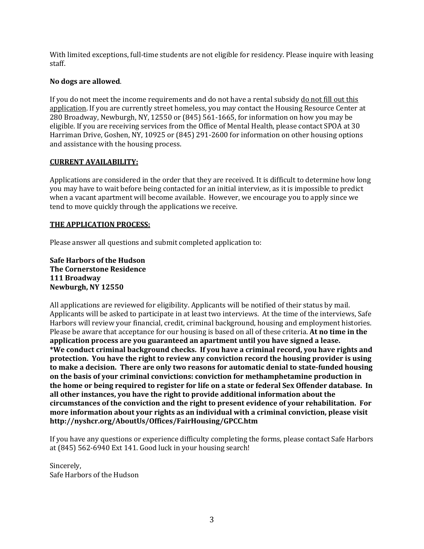With limited exceptions, full-time students are not eligible for residency. Please inquire with leasing staff.

#### **No dogs are allowed**.

If you do not meet the income requirements and do not have a rental subsidy do not fill out this application. If you are currently street homeless, you may contact the Housing Resource Center at 280 Broadway, Newburgh, NY, 12550 or  $(845)$  561-1665, for information on how you may be eligible. If you are receiving services from the Office of Mental Health, please contact SPOA at 30 Harriman Drive, Goshen, NY, 10925 or (845) 291-2600 for information on other housing options and assistance with the housing process.

#### **CURRENT AVAILABILITY:**

Applications are considered in the order that they are received. It is difficult to determine how long you may have to wait before being contacted for an initial interview, as it is impossible to predict when a vacant apartment will become available. However, we encourage you to apply since we tend to move quickly through the applications we receive.

### **THE APPLICATION PROCESS:**

Please answer all questions and submit completed application to:

**Safe Harbors of the Hudson The Cornerstone Residence 111 Broadway Newburgh, NY 12550**

All applications are reviewed for eligibility. Applicants will be notified of their status by mail. Applicants will be asked to participate in at least two interviews. At the time of the interviews, Safe Harbors will review your financial, credit, criminal background, housing and employment histories. Please be aware that acceptance for our housing is based on all of these criteria. At no time in the **application process are you guaranteed an apartment until you have signed a lease. \*We conduct criminal background checks. If you have a criminal record, you have rights and protection.** You have the right to review any conviction record the housing provider is using to make a decision. There are only two reasons for automatic denial to state-funded housing on the basis of your criminal convictions: conviction for methamphetamine production in the home or being required to register for life on a state or federal Sex Offender database. In all other instances, you have the right to provide additional information about the circumstances of the conviction and the right to present evidence of your rehabilitation. For **more information about your rights as an individual with a criminal conviction, please visit http://nyshcr.org/AboutUs/Offices/FairHousing/GPCC.htm**

If you have any questions or experience difficulty completing the forms, please contact Safe Harbors at (845) 562-6940 Ext 141. Good luck in your housing search!

Sincerely, Safe Harbors of the Hudson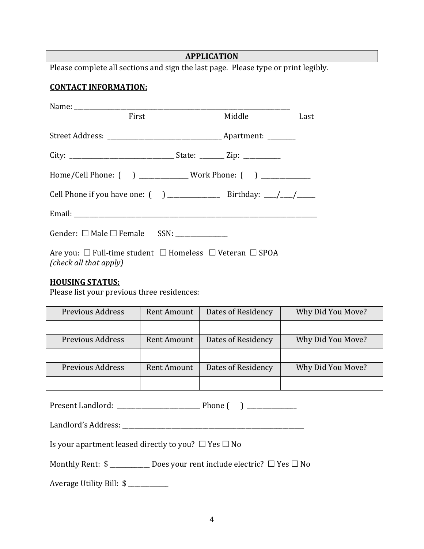# **APPLICATION**

Please complete all sections and sign the last page. Please type or print legibly.

#### **CONTACT INFORMATION:**

| First                                                                        | Middle Last |  |
|------------------------------------------------------------------------------|-------------|--|
|                                                                              |             |  |
|                                                                              |             |  |
| Home/Cell Phone: () ______________Work Phone: () ____________                |             |  |
|                                                                              |             |  |
|                                                                              |             |  |
| Gender: $\square$ Male $\square$ Female SSN: ______________                  |             |  |
| Are you: $\Box$ Full-time student $\Box$ Homeless $\Box$ Veteran $\Box$ SPOA |             |  |

*(check all that apply)*

# **HOUSING STATUS:**

Please list your previous three residences:

| Previous Address        | Rent Amount | Dates of Residency | Why Did You Move? |
|-------------------------|-------------|--------------------|-------------------|
|                         |             |                    |                   |
| <b>Previous Address</b> | Rent Amount | Dates of Residency | Why Did You Move? |
|                         |             |                    |                   |
| <b>Previous Address</b> | Rent Amount | Dates of Residency | Why Did You Move? |
|                         |             |                    |                   |

Present Landlord: \_\_\_\_\_\_\_\_\_\_\_\_\_\_\_\_\_\_\_\_\_\_\_\_\_\_\_ Phone ( ) \_\_\_\_\_\_\_\_\_\_\_\_\_\_\_\_

Landlord's Address: \_\_\_\_\_\_\_\_\_\_\_\_\_\_\_\_\_\_\_\_\_\_\_\_\_\_\_\_\_\_\_\_\_\_\_\_\_\_\_\_\_\_\_\_\_\_\_\_\_\_\_\_\_\_\_\_\_\_\_

Is your apartment leased directly to you?  $\Box$  Yes  $\Box$  No

Monthly Rent:  $\ $$  \_\_\_\_\_\_\_\_\_\_\_\_\_\_ Does your rent include electric?  $\Box$  Yes  $\Box$  No

Average Utility Bill: \$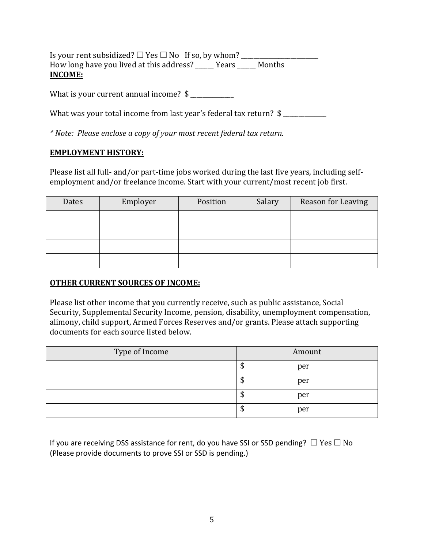Is your rent subsidized?  $\Box$  Yes  $\Box$  No If so, by whom? How long have you lived at this address? \_\_\_\_\_ Years \_\_\_\_\_ Months **INCOME:**

What is your current annual income?  $\frac{1}{2}$  \_\_\_\_\_\_\_\_\_\_\_\_\_\_\_\_\_\_\_\_\_\_\_\_\_\_\_\_\_\_\_\_\_\_\_

What was your total income from last year's federal tax return?  $\frac{1}{2}$ 

*\* Note: Please enclose a copy of your most recent federal tax return.*

# **EMPLOYMENT HISTORY:**

Please list all full- and/or part-time jobs worked during the last five years, including selfemployment and/or freelance income. Start with your current/most recent job first.

| Dates | Employer | Position | Salary | Reason for Leaving |
|-------|----------|----------|--------|--------------------|
|       |          |          |        |                    |
|       |          |          |        |                    |
|       |          |          |        |                    |
|       |          |          |        |                    |

# **OTHER CURRENT SOURCES OF INCOME:**

Please list other income that you currently receive, such as public assistance, Social Security, Supplemental Security Income, pension, disability, unemployment compensation, alimony, child support, Armed Forces Reserves and/or grants. Please attach supporting documents for each source listed below.

| Type of Income | Amount    |
|----------------|-----------|
|                | per<br>۰Ф |
|                | per<br>Ψ  |
|                | per<br>۰Ф |
|                | per<br>۰Ф |

If you are receiving DSS assistance for rent, do you have SSI or SSD pending?  $\Box$  Yes  $\Box$  No (Please provide documents to prove SSI or SSD is pending.)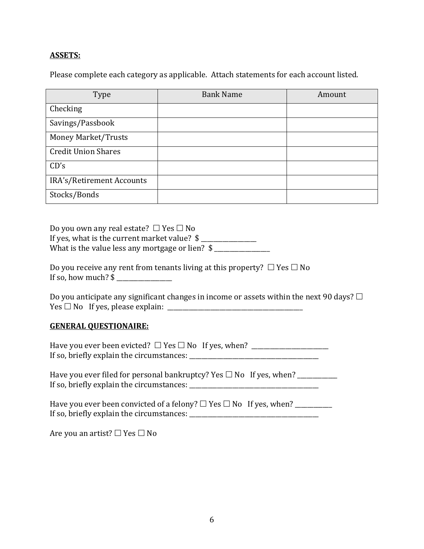# **ASSETS:**

Please complete each category as applicable. Attach statements for each account listed.

| Type                       | <b>Bank Name</b> | Amount |
|----------------------------|------------------|--------|
| Checking                   |                  |        |
| Savings/Passbook           |                  |        |
| <b>Money Market/Trusts</b> |                  |        |
| <b>Credit Union Shares</b> |                  |        |
| CD's                       |                  |        |
| IRA's/Retirement Accounts  |                  |        |
| Stocks/Bonds               |                  |        |

Do you own any real estate?  $\Box$  Yes  $\Box$  No If yes, what is the current market value?  $\frac{1}{2}$ What is the value less any mortgage or lien?  $\frac{1}{2}$ 

| Do you receive any rent from tenants living at this property? $\Box$ Yes $\Box$ No |  |
|------------------------------------------------------------------------------------|--|
| If so, how much? $\frac{1}{2}$                                                     |  |

Do you anticipate any significant changes in income or assets within the next 90 days?  $\Box$ Yes £ No If yes, please explain: \_\_\_\_\_\_\_\_\_\_\_\_\_\_\_\_\_\_\_\_\_\_\_\_\_\_\_\_\_\_\_\_\_\_\_\_\_\_\_\_\_\_\_\_

# **GENERAL OUESTIONAIRE:**

| Have you ever been evicted? $\Box$ Yes $\Box$ No If yes, when? |  |
|----------------------------------------------------------------|--|
| If so, briefly explain the circumstances:                      |  |

| Have you ever filed for personal bankruptcy? Yes $\square$ No If yes, when? |  |
|-----------------------------------------------------------------------------|--|
| If so, briefly explain the circumstances:                                   |  |

| Have you ever been convicted of a felony? $\Box$ Yes $\Box$ No If yes, when? |  |
|------------------------------------------------------------------------------|--|
| If so, briefly explain the circumstances:                                    |  |

Are you an artist?  $\square$  Yes  $\square$  No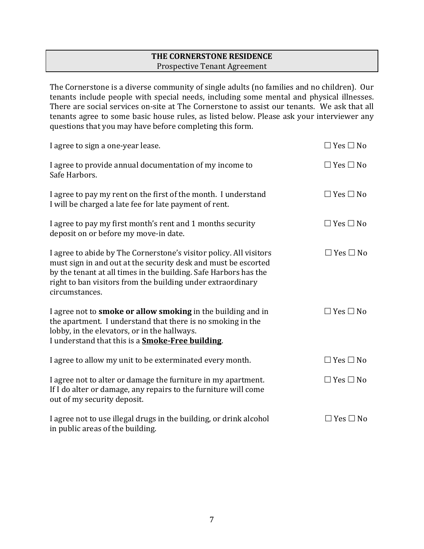# **THE CORNERSTONE RESIDENCE** Prospective Tenant Agreement

The Cornerstone is a diverse community of single adults (no families and no children). Our tenants include people with special needs, including some mental and physical illnesses. There are social services on-site at The Cornerstone to assist our tenants. We ask that all tenants agree to some basic house rules, as listed below. Please ask your interviewer any questions that you may have before completing this form.

| I agree to sign a one-year lease.                                                                                                                                                                                                                                                         | $\Box$ Yes $\Box$ No |
|-------------------------------------------------------------------------------------------------------------------------------------------------------------------------------------------------------------------------------------------------------------------------------------------|----------------------|
| I agree to provide annual documentation of my income to<br>Safe Harbors.                                                                                                                                                                                                                  | $\Box$ Yes $\Box$ No |
| I agree to pay my rent on the first of the month. I understand<br>I will be charged a late fee for late payment of rent.                                                                                                                                                                  | $\Box$ Yes $\Box$ No |
| I agree to pay my first month's rent and 1 months security<br>deposit on or before my move-in date.                                                                                                                                                                                       | $\Box$ Yes $\Box$ No |
| I agree to abide by The Cornerstone's visitor policy. All visitors<br>must sign in and out at the security desk and must be escorted<br>by the tenant at all times in the building. Safe Harbors has the<br>right to ban visitors from the building under extraordinary<br>circumstances. | $\Box$ Yes $\Box$ No |
| I agree not to smoke or allow smoking in the building and in<br>the apartment. I understand that there is no smoking in the<br>lobby, in the elevators, or in the hallways.<br>I understand that this is a <b>Smoke-Free building</b> .                                                   | $\Box$ Yes $\Box$ No |
| I agree to allow my unit to be exterminated every month.                                                                                                                                                                                                                                  | $\Box$ Yes $\Box$ No |
| I agree not to alter or damage the furniture in my apartment.<br>If I do alter or damage, any repairs to the furniture will come<br>out of my security deposit.                                                                                                                           | $\Box$ Yes $\Box$ No |
| I agree not to use illegal drugs in the building, or drink alcohol<br>in public areas of the building.                                                                                                                                                                                    | $\Box$ Yes $\Box$ No |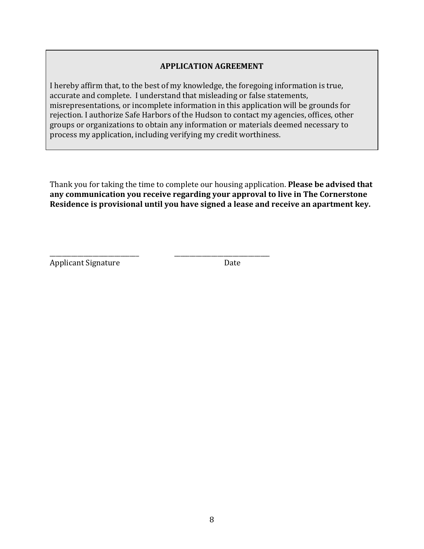### **APPLICATION AGREEMENT**

I hereby affirm that, to the best of my knowledge, the foregoing information is true, accurate and complete. I understand that misleading or false statements, misrepresentations, or incomplete information in this application will be grounds for rejection. I authorize Safe Harbors of the Hudson to contact my agencies, offices, other groups or organizations to obtain any information or materials deemed necessary to process my application, including verifying my credit worthiness.

Thank you for taking the time to complete our housing application. **Please be advised that** any communication you receive regarding your approval to live in The Cornerstone Residence is provisional until you have signed a lease and receive an apartment key.

\_\_\_\_\_\_\_\_\_\_\_\_\_\_\_\_\_\_\_\_\_\_\_\_\_\_\_\_\_ \_\_\_\_\_\_\_\_\_\_\_\_\_\_\_\_\_\_\_\_\_\_\_\_\_\_\_\_\_\_\_ Applicant Signature Date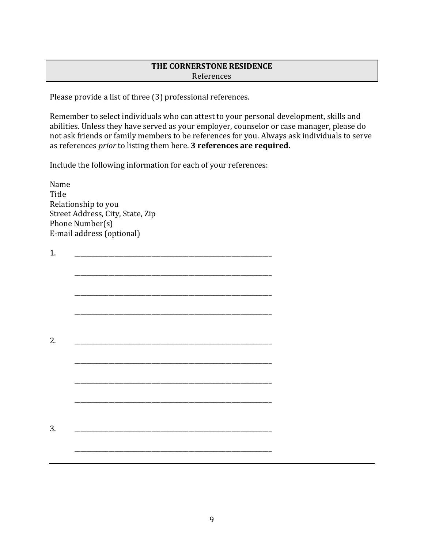# **THE CORNERSTONE RESIDENCE** References

Please provide a list of three (3) professional references.

Remember to select individuals who can attest to your personal development, skills and abilities. Unless they have served as your employer, counselor or case manager, please do not ask friends or family members to be references for you. Always ask individuals to serve as references *prior* to listing them here. **3 references are required.** 

Include the following information for each of your references:

Name **Title** Relationship to you Street Address, City, State, Zip Phone Number(s) E-mail address (optional)

| 1. |  |  |  |  |
|----|--|--|--|--|
|    |  |  |  |  |
|    |  |  |  |  |
|    |  |  |  |  |
|    |  |  |  |  |
|    |  |  |  |  |
| 2. |  |  |  |  |
|    |  |  |  |  |
|    |  |  |  |  |
|    |  |  |  |  |
|    |  |  |  |  |
|    |  |  |  |  |
|    |  |  |  |  |
| 3. |  |  |  |  |
|    |  |  |  |  |
|    |  |  |  |  |
|    |  |  |  |  |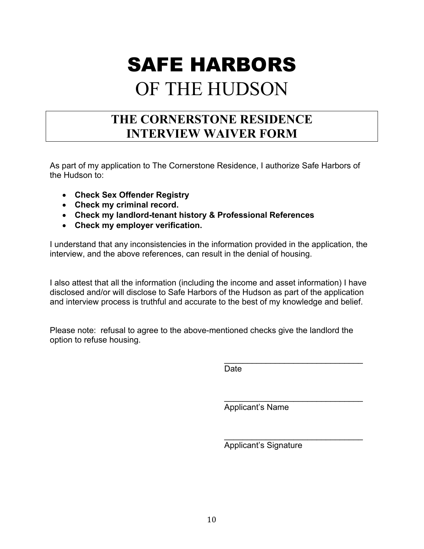# SAFE HARBORS OF THE HUDSON

# **THE CORNERSTONE RESIDENCE INTERVIEW WAIVER FORM**

As part of my application to The Cornerstone Residence, I authorize Safe Harbors of the Hudson to:

- **Check Sex Offender Registry**
- **Check my criminal record.**
- **Check my landlord-tenant history & Professional References**
- **Check my employer verification.**

I understand that any inconsistencies in the information provided in the application, the interview, and the above references, can result in the denial of housing.

I also attest that all the information (including the income and asset information) I have disclosed and/or will disclose to Safe Harbors of the Hudson as part of the application and interview process is truthful and accurate to the best of my knowledge and belief.

Please note: refusal to agree to the above-mentioned checks give the landlord the option to refuse housing.

> $\mathcal{L}_\text{max}$  , where  $\mathcal{L}_\text{max}$  is the set of the set of the set of the set of the set of the set of the set of the set of the set of the set of the set of the set of the set of the set of the set of the set of the se **Date**

> $\mathcal{L}_\text{max}$  , where  $\mathcal{L}_\text{max}$  is the set of the set of the set of the set of the set of the set of the set of the set of the set of the set of the set of the set of the set of the set of the set of the set of the se Applicant's Name

Applicant's Signature

 $\overline{\phantom{a}}$  , which is a set of the set of the set of the set of the set of the set of the set of the set of the set of the set of the set of the set of the set of the set of the set of the set of the set of the set of th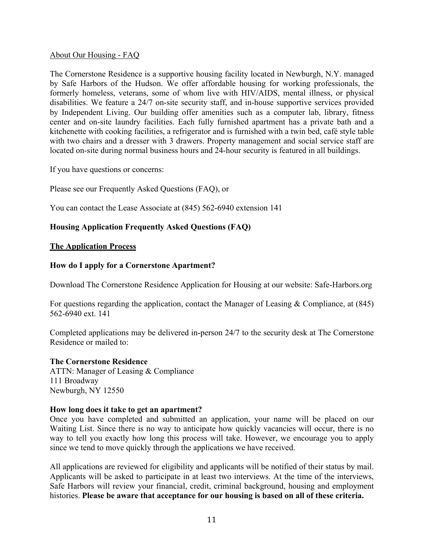#### About Our Housing - FAQ

The Cornerstone Residence is a supportive housing facility located in Newburgh, N.Y. managed by Safe Harbors of the Hudson. We offer affordable housing for working professionals, the formerly homeless, veterans, some of whom live with HIV/AIDS, mental illness, or physical disabilities. We feature a 24/7 on-site security staff, and in-house supportive services provided by Independent Living. Our building offer amenities such as a computer lab, library, fitness center and on-site laundry facilities. Each fully furnished apartment has a private bath and a kitchenette with cooking facilities, a refrigerator and is furnished with a twin bed, café style table with two chairs and a dresser with 3 drawers. Property management and social service staff are located on-site during normal business hours and 24-hour security is featured in all buildings.

If you have questions or concerns:

Please see our Frequently Asked Questions (FAQ), or

You can contact the Lease Associate at (845) 562-6940 extension 141

# **Housing Application Frequently Asked Questions (FAQ)**

#### **The Application Process**

### **How do I apply for a Cornerstone Apartment?**

Download The Cornerstone Residence Application for Housing at our website: Safe-Harbors.org

For questions regarding the application, contact the Manager of Leasing & Compliance, at (845) 562-6940 ext. 141

Completed applications may be delivered in-person 24/7 to the security desk at The Cornerstone Residence or mailed to:

#### **The Cornerstone Residence**

ATTN: Manager of Leasing & Compliance 111 Broadway Newburgh, NY 12550

#### **How long does it take to get an apartment?**

Once you have completed and submitted an application, your name will be placed on our Waiting List. Since there is no way to anticipate how quickly vacancies will occur, there is no way to tell you exactly how long this process will take. However, we encourage you to apply since we tend to move quickly through the applications we have received.

All applications are reviewed for eligibility and applicants will be notified of their status by mail. Applicants will be asked to participate in at least two interviews. At the time of the interviews, Safe Harbors will review your financial, credit, criminal background, housing and employment histories. **Please be aware that acceptance for our housing is based on all of these criteria.**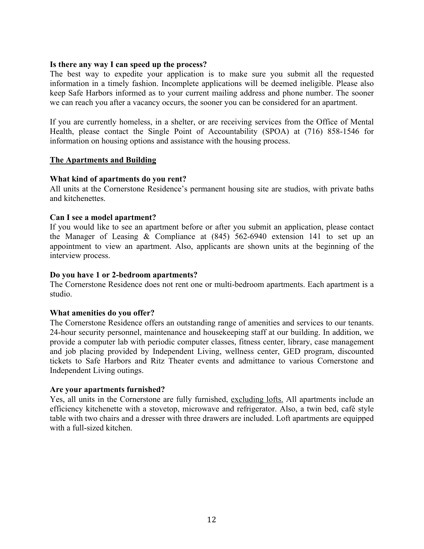#### **Is there any way I can speed up the process?**

The best way to expedite your application is to make sure you submit all the requested information in a timely fashion. Incomplete applications will be deemed ineligible. Please also keep Safe Harbors informed as to your current mailing address and phone number. The sooner we can reach you after a vacancy occurs, the sooner you can be considered for an apartment.

If you are currently homeless, in a shelter, or are receiving services from the Office of Mental Health, please contact the Single Point of Accountability (SPOA) at (716) 858-1546 for information on housing options and assistance with the housing process.

#### **The Apartments and Building**

#### **What kind of apartments do you rent?**

All units at the Cornerstone Residence's permanent housing site are studios, with private baths and kitchenettes.

#### **Can I see a model apartment?**

If you would like to see an apartment before or after you submit an application, please contact the Manager of Leasing & Compliance at (845) 562-6940 extension 141 to set up an appointment to view an apartment. Also, applicants are shown units at the beginning of the interview process.

#### **Do you have 1 or 2-bedroom apartments?**

The Cornerstone Residence does not rent one or multi-bedroom apartments. Each apartment is a studio.

#### **What amenities do you offer?**

The Cornerstone Residence offers an outstanding range of amenities and services to our tenants. 24-hour security personnel, maintenance and housekeeping staff at our building. In addition, we provide a computer lab with periodic computer classes, fitness center, library, case management and job placing provided by Independent Living, wellness center, GED program, discounted tickets to Safe Harbors and Ritz Theater events and admittance to various Cornerstone and Independent Living outings.

#### **Are your apartments furnished?**

Yes, all units in the Cornerstone are fully furnished, excluding lofts. All apartments include an efficiency kitchenette with a stovetop, microwave and refrigerator. Also, a twin bed, café style table with two chairs and a dresser with three drawers are included. Loft apartments are equipped with a full-sized kitchen.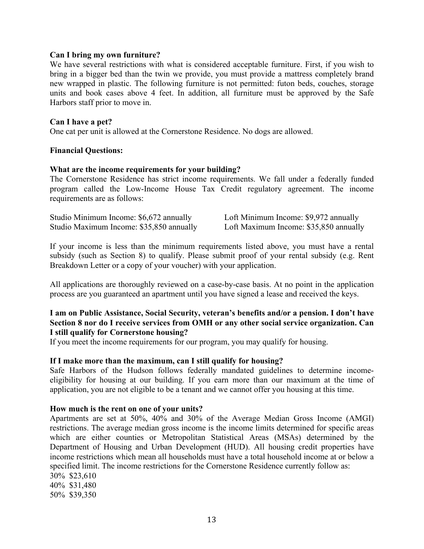#### **Can I bring my own furniture?**

We have several restrictions with what is considered acceptable furniture. First, if you wish to bring in a bigger bed than the twin we provide, you must provide a mattress completely brand new wrapped in plastic. The following furniture is not permitted: futon beds, couches, storage units and book cases above 4 feet. In addition, all furniture must be approved by the Safe Harbors staff prior to move in.

#### **Can I have a pet?**

One cat per unit is allowed at the Cornerstone Residence. No dogs are allowed.

#### **Financial Questions:**

#### **What are the income requirements for your building?**

The Cornerstone Residence has strict income requirements. We fall under a federally funded program called the Low-Income House Tax Credit regulatory agreement. The income requirements are as follows:

| Studio Minimum Income: \$6,672 annually  | Loft Minimum Income: \$9,972 annually  |
|------------------------------------------|----------------------------------------|
| Studio Maximum Income: \$35,850 annually | Loft Maximum Income: \$35,850 annually |

If your income is less than the minimum requirements listed above, you must have a rental subsidy (such as Section 8) to qualify. Please submit proof of your rental subsidy (e.g. Rent Breakdown Letter or a copy of your voucher) with your application.

All applications are thoroughly reviewed on a case-by-case basis. At no point in the application process are you guaranteed an apartment until you have signed a lease and received the keys.

### **I am on Public Assistance, Social Security, veteran's benefits and/or a pension. I don't have Section 8 nor do I receive services from OMH or any other social service organization. Can I still qualify for Cornerstone housing?**

If you meet the income requirements for our program, you may qualify for housing.

#### **If I make more than the maximum, can I still qualify for housing?**

Safe Harbors of the Hudson follows federally mandated guidelines to determine incomeeligibility for housing at our building. If you earn more than our maximum at the time of application, you are not eligible to be a tenant and we cannot offer you housing at this time.

#### **How much is the rent on one of your units?**

Apartments are set at 50%, 40% and 30% of the Average Median Gross Income (AMGI) restrictions. The average median gross income is the income limits determined for specific areas which are either counties or Metropolitan Statistical Areas (MSAs) determined by the Department of Housing and Urban Development (HUD). All housing credit properties have income restrictions which mean all households must have a total household income at or below a specified limit. The income restrictions for the Cornerstone Residence currently follow as: 30% \$23,610 40% \$31,480 50% \$39,350